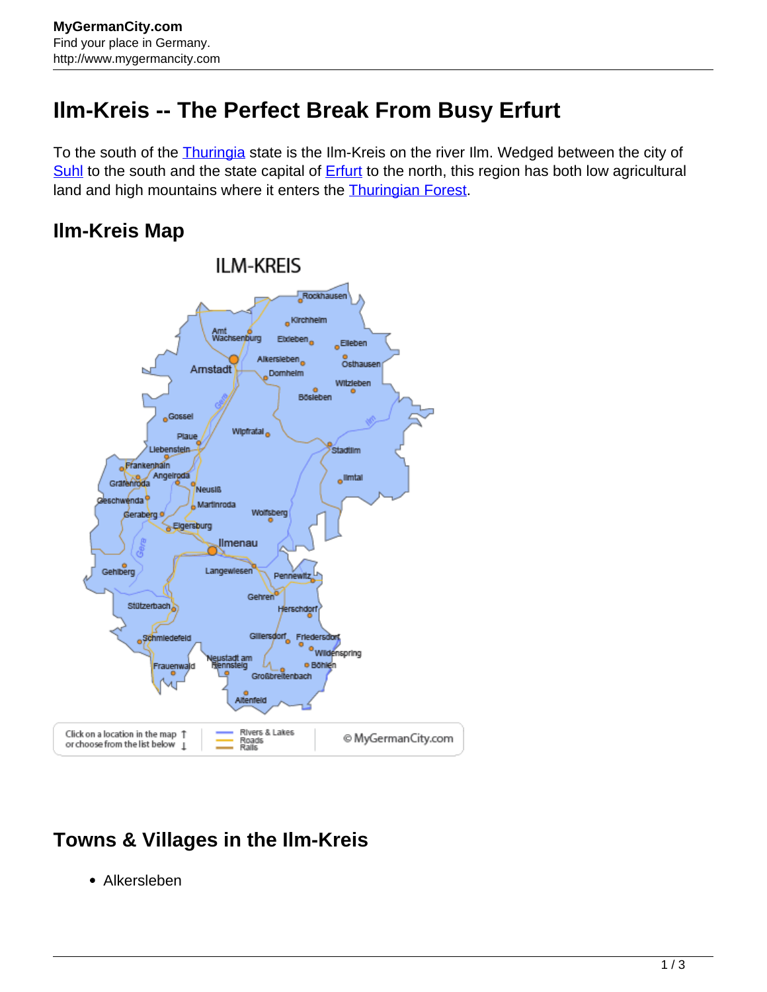## **Ilm-Kreis -- The Perfect Break From Busy Erfurt**

To the south of the **Thuringia** state is the Ilm-Kreis on the river Ilm. Wedged between the city of [Suhl](http://www.mygermancity.com/suhl) to the south and the state capital of **[Erfurt](http://www.mygermancity.com/erfurt)** to the north, this region has both low agricultural land and high mountains where it enters the **Thuringian Forest**.

## **Ilm-Kreis Map**



## **Towns & Villages in the Ilm-Kreis**

Alkersleben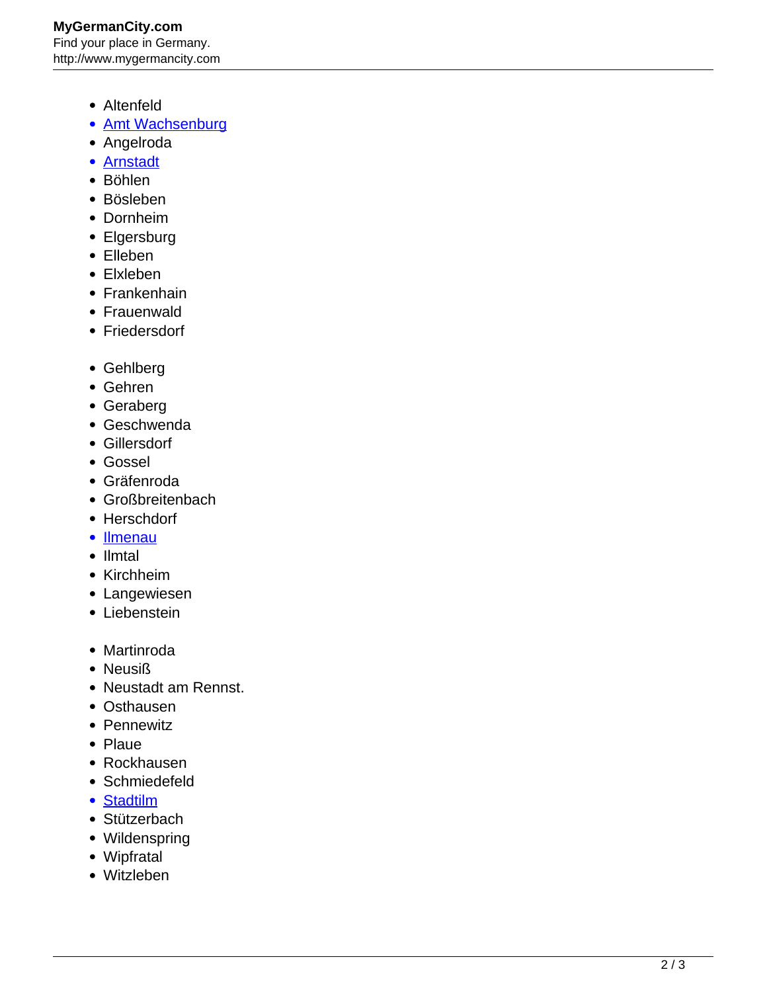## **MyGermanCity.com** Find your place in Germany. http://www.mygermancity.com

- Altenfeld
- [Amt Wachsenburg](http://www.mygermancity.com/amt-wachsenburg)
- Angelroda
- [Arnstadt](http://www.mygermancity.com/arnstadt)
- Böhlen
- Bösleben
- Dornheim
- Elgersburg
- Elleben
- Elxleben
- Frankenhain
- Frauenwald
- Friedersdorf
- Gehlberg
- Gehren
- Geraberg
- Geschwenda
- Gillersdorf
- Gossel
- Gräfenroda
- Großbreitenbach
- Herschdorf
- [Ilmenau](http://www.mygermancity.com/ilmenau)
- Ilmtal
- Kirchheim
- Langewiesen
- Liebenstein
- Martinroda
- Neusiß
- Neustadt am Rennst.
- Osthausen
- Pennewitz
- Plaue
- Rockhausen
- Schmiedefeld
- [Stadtilm](http://www.mygermancity.com/stadtilm)
- Stützerbach
- Wildenspring
- Wipfratal
- Witzleben